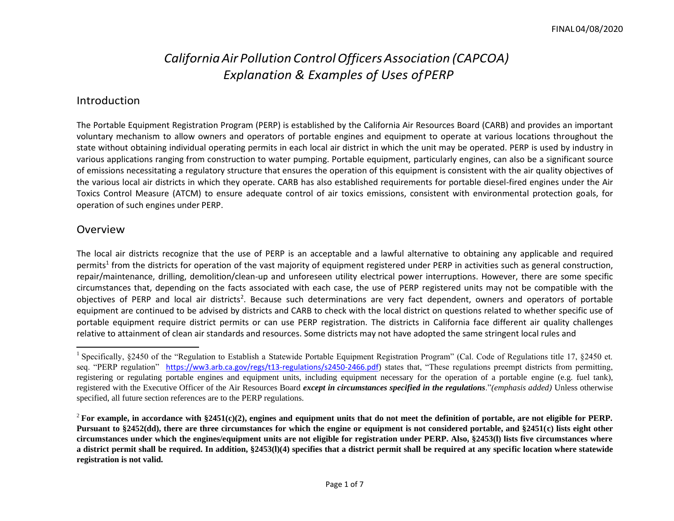# *CaliforniaAir Pollution ControlOfficersAssociation (CAPCOA) Explanation & Examples of Uses ofPERP*

#### Introduction

The Portable Equipment Registration Program (PERP) is established by the California Air Resources Board (CARB) and provides an important voluntary mechanism to allow owners and operators of portable engines and equipment to operate at various locations throughout the state without obtaining individual operating permits in each local air district in which the unit may be operated. PERP is used by industry in various applications ranging from construction to water pumping. Portable equipment, particularly engines, can also be a significant source of emissions necessitating a regulatory structure that ensures the operation of this equipment is consistent with the air quality objectives of the various local air districts in which they operate. CARB has also established requirements for portable diesel-fired engines under the Air Toxics Control Measure (ATCM) to ensure adequate control of air toxics emissions, consistent with environmental protection goals, for operation of such engines under PERP.

#### Overview

The local air districts recognize that the use of PERP is an acceptable and a lawful alternative to obtaining any applicable and required permits<sup>1</sup> from the districts for operation of the vast majority of equipment registered under PERP in activities such as general construction, repair/maintenance, drilling, demolition/clean-up and unforeseen utility electrical power interruptions. However, there are some specific circumstances that, depending on the facts associated with each case, the use of PERP registered units may not be compatible with the objectives of PERP and local air districts<sup>2</sup>. Because such determinations are very fact dependent, owners and operators of portable equipment are continued to be advised by districts and CARB to check with the local district on questions related to whether specific use of portable equipment require district permits or can use PERP registration. The districts in California face different air quality challenges relative to attainment of clean air standards and resources. Some districts may not have adopted the same stringent local rules and

<sup>&</sup>lt;sup>1</sup> Specifically, §2450 of the "Regulation to Establish a Statewide Portable Equipment Registration Program" (Cal. Code of Regulations title 17, §2450 et. seq. "PERP regulation" [https://ww3.arb.ca.gov/regs/t13-regulations/s2450-2466.pdf](http://www.arb.ca.gov/portable/perp/perpreg.pdf))) states that, "These regulations preempt districts from permitting, registering or regulating portable engines and equipment units, including equipment necessary for the operation of a portable engine (e.g. fuel tank), registered with the Executive Officer of the Air Resources Board *except in circumstances specified in the regulations*."*(emphasis added)* Unless otherwise specified, all future section references are to the PERP regulations.

<sup>&</sup>lt;sup>2</sup> For example, in accordance with  $$2451(c)(2)$ , engines and equipment units that do not meet the definition of portable, are not eligible for PERP. **Pursuant to §2452(dd), there are three circumstances for which the engine or equipment is not considered portable, and §2451(c) lists eight other circumstances under which the engines/equipment units are not eligible for registration under PERP. Also, §2453(l) lists five circumstances where a district permit shall be required. In addition, §2453(l)(4) specifies that a district permit shall be required at any specific location where statewide registration is not valid.**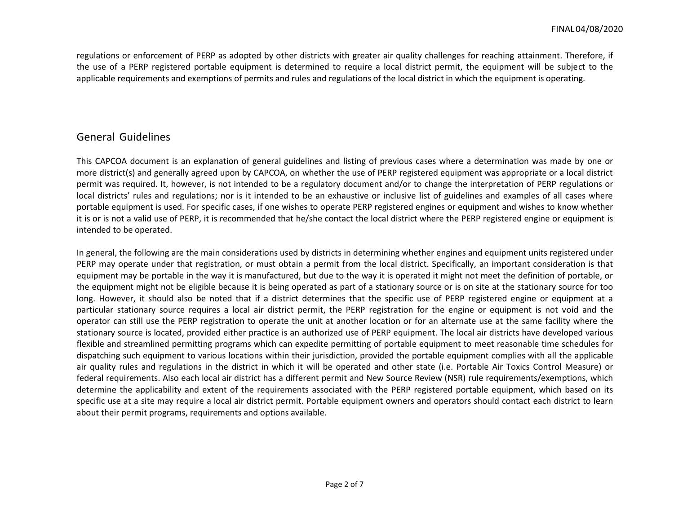regulations or enforcement of PERP as adopted by other districts with greater air quality challenges for reaching attainment. Therefore, if the use of a PERP registered portable equipment is determined to require a local district permit, the equipment will be subject to the applicable requirements and exemptions of permits and rules and regulations of the local district in which the equipment is operating.

### General Guidelines

This CAPCOA document is an explanation of general guidelines and listing of previous cases where a determination was made by one or more district(s) and generally agreed upon by CAPCOA, on whether the use of PERP registered equipment was appropriate or a local district permit was required. It, however, is not intended to be a regulatory document and/or to change the interpretation of PERP regulations or local districts' rules and regulations; nor is it intended to be an exhaustive or inclusive list of guidelines and examples of all cases where portable equipment is used. For specific cases, if one wishes to operate PERP registered engines or equipment and wishes to know whether it is or is not a valid use of PERP, it is recommended that he/she contact the local district where the PERP registered engine or equipment is intended to be operated.

In general, the following are the main considerations used by districts in determining whether engines and equipment units registered under PERP may operate under that registration, or must obtain a permit from the local district. Specifically, an important consideration is that equipment may be portable in the way it is manufactured, but due to the way it is operated it might not meet the definition of portable, or the equipment might not be eligible because it is being operated as part of a stationary source or is on site at the stationary source for too long. However, it should also be noted that if a district determines that the specific use of PERP registered engine or equipment at a particular stationary source requires a local air district permit, the PERP registration for the engine or equipment is not void and the operator can still use the PERP registration to operate the unit at another location or for an alternate use at the same facility where the stationary source is located, provided either practice is an authorized use of PERP equipment. The local air districts have developed various flexible and streamlined permitting programs which can expedite permitting of portable equipment to meet reasonable time schedules for dispatching such equipment to various locations within their jurisdiction, provided the portable equipment complies with all the applicable air quality rules and regulations in the district in which it will be operated and other state (i.e. Portable Air Toxics Control Measure) or federal requirements. Also each local air district has a different permit and New Source Review (NSR) rule requirements/exemptions, which determine the applicability and extent of the requirements associated with the PERP registered portable equipment, which based on its specific use at a site may require a local air district permit. Portable equipment owners and operators should contact each district to learn about their permit programs, requirements and options available.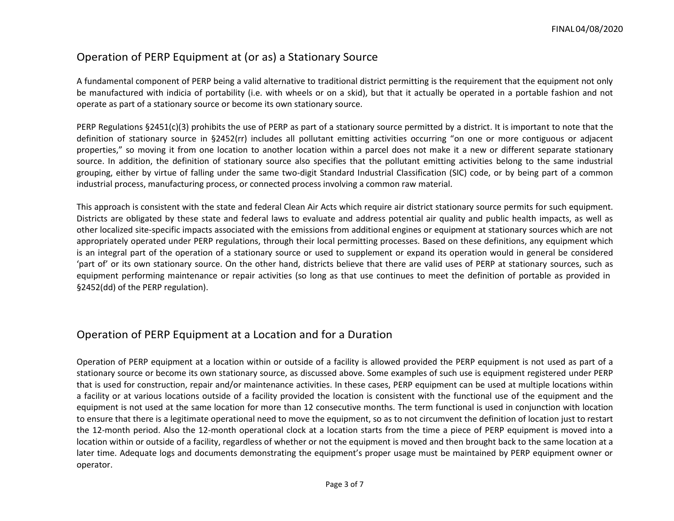## Operation of PERP Equipment at (or as) a Stationary Source

A fundamental component of PERP being a valid alternative to traditional district permitting is the requirement that the equipment not only be manufactured with indicia of portability (i.e. with wheels or on a skid), but that it actually be operated in a portable fashion and not operate as part of a stationary source or become its own stationary source.

PERP Regulations §2451(c)(3) prohibits the use of PERP as part of a stationary source permitted by a district. It is important to note that the definition of stationary source in §2452(rr) includes all pollutant emitting activities occurring "on one or more contiguous or adjacent properties," so moving it from one location to another location within a parcel does not make it a new or different separate stationary source. In addition, the definition of stationary source also specifies that the pollutant emitting activities belong to the same industrial grouping, either by virtue of falling under the same two-digit Standard Industrial Classification (SIC) code, or by being part of a common industrial process, manufacturing process, or connected process involving a common raw material.

This approach is consistent with the state and federal Clean Air Acts which require air district stationary source permits for such equipment. Districts are obligated by these state and federal laws to evaluate and address potential air quality and public health impacts, as well as other localized site-specific impacts associated with the emissions from additional engines or equipment at stationary sources which are not appropriately operated under PERP regulations, through their local permitting processes. Based on these definitions, any equipment which is an integral part of the operation of a stationary source or used to supplement or expand its operation would in general be considered 'part of' or its own stationary source. On the other hand, districts believe that there are valid uses of PERP at stationary sources, such as equipment performing maintenance or repair activities (so long as that use continues to meet the definition of portable as provided in §2452(dd) of the PERP regulation).

#### Operation of PERP Equipment at a Location and for a Duration

Operation of PERP equipment at a location within or outside of a facility is allowed provided the PERP equipment is not used as part of a stationary source or become its own stationary source, as discussed above. Some examples of such use is equipment registered under PERP that is used for construction, repair and/or maintenance activities. In these cases, PERP equipment can be used at multiple locations within a facility or at various locations outside of a facility provided the location is consistent with the functional use of the equipment and the equipment is not used at the same location for more than 12 consecutive months. The term functional is used in conjunction with location to ensure that there is a legitimate operational need to move the equipment, so as to not circumvent the definition of location just to restart the 12-month period. Also the 12-month operational clock at a location starts from the time a piece of PERP equipment is moved into a location within or outside of a facility, regardless of whether or not the equipment is moved and then brought back to the same location at a later time. Adequate logs and documents demonstrating the equipment's proper usage must be maintained by PERP equipment owner or operator.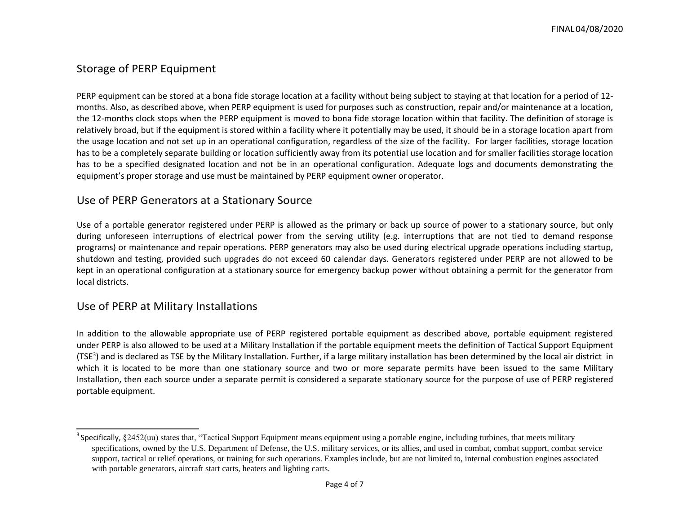# Storage of PERP Equipment

PERP equipment can be stored at a bona fide storage location at a facility without being subject to staying at that location for a period of 12 months. Also, as described above, when PERP equipment is used for purposes such as construction, repair and/or maintenance at a location, the 12-months clock stops when the PERP equipment is moved to bona fide storage location within that facility. The definition of storage is relatively broad, but if the equipment is stored within a facility where it potentially may be used, it should be in a storage location apart from the usage location and not set up in an operational configuration, regardless of the size of the facility. For larger facilities, storage location has to be a completely separate building or location sufficiently away from its potential use location and for smaller facilities storage location has to be a specified designated location and not be in an operational configuration. Adequate logs and documents demonstrating the equipment's proper storage and use must be maintained by PERP equipment owner oroperator.

## Use of PERP Generators at a Stationary Source

Use of a portable generator registered under PERP is allowed as the primary or back up source of power to a stationary source, but only during unforeseen interruptions of electrical power from the serving utility (e.g. interruptions that are not tied to demand response programs) or maintenance and repair operations. PERP generators may also be used during electrical upgrade operations including startup, shutdown and testing, provided such upgrades do not exceed 60 calendar days. Generators registered under PERP are not allowed to be kept in an operational configuration at a stationary source for emergency backup power without obtaining a permit for the generator from local districts.

## Use of PERP at Military Installations

In addition to the allowable appropriate use of PERP registered portable equipment as described above, portable equipment registered under PERP is also allowed to be used at a Military Installation if the portable equipment meets the definition of Tactical Support Equipment (TSE<sup>3</sup>) and is declared as TSE by the Military Installation. Further, if a large military installation has been determined by the local air district in which it is located to be more than one stationary source and two or more separate permits have been issued to the same Military Installation, then each source under a separate permit is considered a separate stationary source for the purpose of use of PERP registered portable equipment.

 $3$  Specifically,  $§2452$ (uu) states that, "Tactical Support Equipment means equipment using a portable engine, including turbines, that meets military specifications, owned by the U.S. Department of Defense, the U.S. military services, or its allies, and used in combat, combat support, combat service support, tactical or relief operations, or training for such operations. Examples include, but are not limited to, internal combustion engines associated with portable generators, aircraft start carts, heaters and lighting carts.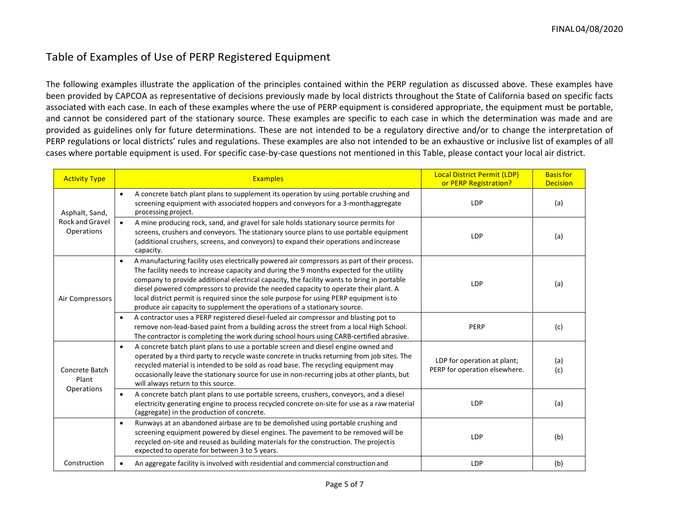# Table of Examples of Use of PERP Registered Equipment

The following examples illustrate the application of the principles contained within the PERP regulation as discussed above. These examples have been provided by CAPCOA as representative of decisions previously made by local districts throughout the State of California based on specific facts associated with each case. In each of these examples where the use of PERP equipment is considered appropriate, the equipment must be portable, and cannot be considered part of the stationary source. These examples are specific to each case in which the determination was made and are provided as guidelines only for future determinations. These are not intended to be a regulatory directive and/or to change the interpretation of PERP regulations or local districts' rules and regulations. These examples are also not intended to be an exhaustive or inclusive list of examples of all cases where portable equipment is used. For specific case-by-case questions not mentioned in this Table, please contact your local air district.

| <b>Activity Type</b>                            | <b>Examples</b>                                                                                                                                                                                                                                                                                                                                                                                                                                                                                                                                                    | <b>Local District Permit (LDP)</b><br>or PERP Registration?  | <b>Basisfor</b><br><b>Decision</b> |
|-------------------------------------------------|--------------------------------------------------------------------------------------------------------------------------------------------------------------------------------------------------------------------------------------------------------------------------------------------------------------------------------------------------------------------------------------------------------------------------------------------------------------------------------------------------------------------------------------------------------------------|--------------------------------------------------------------|------------------------------------|
| Asphalt, Sand,<br>Rock and Gravel<br>Operations | A concrete batch plant plans to supplement its operation by using portable crushing and<br>$\bullet$<br>screening equipment with associated hoppers and conveyors for a 3-monthaggregate<br>processing project.                                                                                                                                                                                                                                                                                                                                                    | <b>LDP</b>                                                   | (a)                                |
|                                                 | A mine producing rock, sand, and gravel for sale holds stationary source permits for<br>$\bullet$<br>screens, crushers and conveyors. The stationary source plans to use portable equipment<br>(additional crushers, screens, and conveyors) to expand their operations and increase<br>capacity.                                                                                                                                                                                                                                                                  | <b>LDP</b>                                                   | (a)                                |
| Air Compressors                                 | A manufacturing facility uses electrically powered air compressors as part of their process.<br>$\bullet$<br>The facility needs to increase capacity and during the 9 months expected for the utility<br>company to provide additional electrical capacity, the facility wants to bring in portable<br>diesel powered compressors to provide the needed capacity to operate their plant. A<br>local district permit is required since the sole purpose for using PERP equipment is to<br>produce air capacity to supplement the operations of a stationary source. | <b>LDP</b>                                                   | (a)                                |
|                                                 | A contractor uses a PERP registered diesel-fueled air compressor and blasting pot to<br>$\bullet$<br>remove non-lead-based paint from a building across the street from a local High School.<br>The contractor is completing the work during school hours using CARB-certified abrasive.                                                                                                                                                                                                                                                                           | PERP                                                         | (c)                                |
| Concrete Batch<br>Plant<br>Operations           | A concrete batch plant plans to use a portable screen and diesel engine owned and<br>$\bullet$<br>operated by a third party to recycle waste concrete in trucks returning from job sites. The<br>recycled material is intended to be sold as road base. The recycling equipment may<br>occasionally leave the stationary source for use in non-recurring jobs at other plants, but<br>will always return to this source.                                                                                                                                           | LDP for operation at plant;<br>PERP for operation elsewhere. | (a)<br>(c)                         |
|                                                 | A concrete batch plant plans to use portable screens, crushers, conveyors, and a diesel<br>electricity generating engine to process recycled concrete on-site for use as a raw material<br>(aggregate) in the production of concrete.                                                                                                                                                                                                                                                                                                                              | <b>LDP</b>                                                   | (a)                                |
|                                                 | Runways at an abandoned airbase are to be demolished using portable crushing and<br>$\bullet$<br>screening equipment powered by diesel engines. The pavement to be removed will be<br>recycled on-site and reused as building materials for the construction. The projectis<br>expected to operate for between 3 to 5 years.                                                                                                                                                                                                                                       | <b>LDP</b>                                                   | (b)                                |
| Construction                                    | An aggregate facility is involved with residential and commercial construction and                                                                                                                                                                                                                                                                                                                                                                                                                                                                                 | <b>LDP</b>                                                   | (b)                                |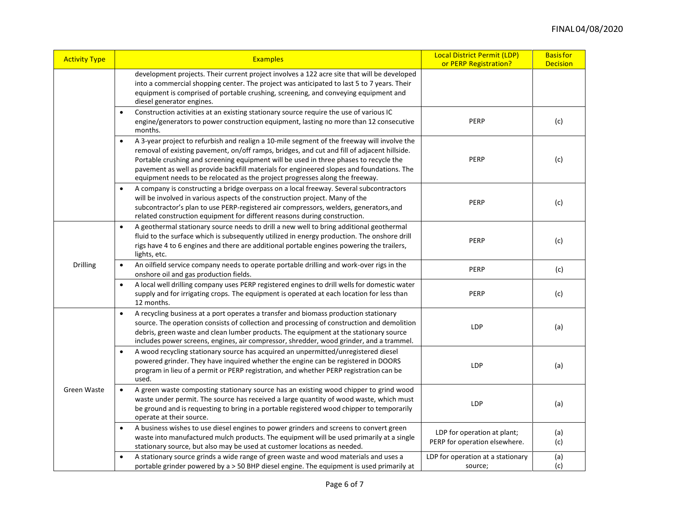| <b>Activity Type</b> | <b>Examples</b>                                                                                                                                                                                                                                                                                                                                                                                                                                                               | Local District Permit (LDP)<br>or PERP Registration?         | <b>Basisfor</b><br><b>Decision</b> |
|----------------------|-------------------------------------------------------------------------------------------------------------------------------------------------------------------------------------------------------------------------------------------------------------------------------------------------------------------------------------------------------------------------------------------------------------------------------------------------------------------------------|--------------------------------------------------------------|------------------------------------|
|                      | development projects. Their current project involves a 122 acre site that will be developed<br>into a commercial shopping center. The project was anticipated to last 5 to 7 years. Their<br>equipment is comprised of portable crushing, screening, and conveying equipment and<br>diesel generator engines.                                                                                                                                                                 |                                                              |                                    |
|                      | Construction activities at an existing stationary source require the use of various IC<br>$\bullet$<br>engine/generators to power construction equipment, lasting no more than 12 consecutive<br>months.                                                                                                                                                                                                                                                                      | PERP                                                         | (c)                                |
|                      | A 3-year project to refurbish and realign a 10-mile segment of the freeway will involve the<br>$\bullet$<br>removal of existing pavement, on/off ramps, bridges, and cut and fill of adjacent hillside.<br>Portable crushing and screening equipment will be used in three phases to recycle the<br>pavement as well as provide backfill materials for engineered slopes and foundations. The<br>equipment needs to be relocated as the project progresses along the freeway. | PERP                                                         | (c)                                |
|                      | A company is constructing a bridge overpass on a local freeway. Several subcontractors<br>$\bullet$<br>will be involved in various aspects of the construction project. Many of the<br>subcontractor's plan to use PERP-registered air compressors, welders, generators, and<br>related construction equipment for different reasons during construction.                                                                                                                     | PERP                                                         | (c)                                |
| Drilling             | A geothermal stationary source needs to drill a new well to bring additional geothermal<br>$\bullet$<br>fluid to the surface which is subsequently utilized in energy production. The onshore drill<br>rigs have 4 to 6 engines and there are additional portable engines powering the trailers,<br>lights, etc.                                                                                                                                                              | PERP                                                         | (c)                                |
|                      | An oilfield service company needs to operate portable drilling and work-over rigs in the<br>$\bullet$<br>onshore oil and gas production fields.                                                                                                                                                                                                                                                                                                                               | <b>PERP</b>                                                  | (c)                                |
|                      | A local well drilling company uses PERP registered engines to drill wells for domestic water<br>$\bullet$<br>supply and for irrigating crops. The equipment is operated at each location for less than<br>12 months.                                                                                                                                                                                                                                                          | PERP                                                         | (c)                                |
| <b>Green Waste</b>   | A recycling business at a port operates a transfer and biomass production stationary<br>$\bullet$<br>source. The operation consists of collection and processing of construction and demolition<br>debris, green waste and clean lumber products. The equipment at the stationary source<br>includes power screens, engines, air compressor, shredder, wood grinder, and a trammel.                                                                                           | <b>LDP</b>                                                   | (a)                                |
|                      | A wood recycling stationary source has acquired an unpermitted/unregistered diesel<br>$\bullet$<br>powered grinder. They have inquired whether the engine can be registered in DOORS<br>program in lieu of a permit or PERP registration, and whether PERP registration can be<br>used.                                                                                                                                                                                       | <b>LDP</b>                                                   | (a)                                |
|                      | A green waste composting stationary source has an existing wood chipper to grind wood<br>$\bullet$<br>waste under permit. The source has received a large quantity of wood waste, which must<br>be ground and is requesting to bring in a portable registered wood chipper to temporarily<br>operate at their source.                                                                                                                                                         | <b>LDP</b>                                                   | (a)                                |
|                      | A business wishes to use diesel engines to power grinders and screens to convert green<br>$\bullet$<br>waste into manufactured mulch products. The equipment will be used primarily at a single<br>stationary source, but also may be used at customer locations as needed.                                                                                                                                                                                                   | LDP for operation at plant;<br>PERP for operation elsewhere. | (a)<br>(c)                         |
|                      | A stationary source grinds a wide range of green waste and wood materials and uses a<br>$\bullet$<br>portable grinder powered by a > 50 BHP diesel engine. The equipment is used primarily at                                                                                                                                                                                                                                                                                 | LDP for operation at a stationary<br>source;                 | (a)<br>(c)                         |